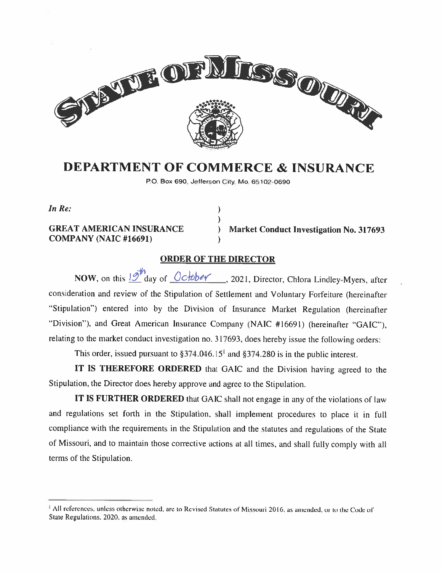

# DEPARTMENT OF COMMERCE & INSURANCE

P.O. Box 690, Jefferson City. Mo. 65102-0690

 $\mathcal{E}$  $\lambda$ 

In Re:

COMPANY (NAIC #16691)

GREAT AMERICAN INSURANCE ) Market Conduct Investigation No. 317693

# ORDER OF THE DIRECTOR

NOW, on this  $19<sup>th</sup>$  day of  $Ochber$ , 2021, Director, Chlora Lindley-Myers, after consideration and review of the Stipulation of Settlement and Voluntary Forfeiture (hereinafter "Stipulation") entered into by the Division of Insurance Market Regulation (hereinafter 'Division"), and Great American Insurance Company (NAIC #16691) (hereinafter "GAIC"), relating to the market conduct investigation no. 317693, does hereby issue the following orders:

This order, issued pursuant to  $\S 374.046.15<sup>1</sup>$  and  $\S 374.280$  is in the public interest.

IT IS THEREFORE ORDERED that GAIC and the Division having agreed to the Stipulation. the Director does hereby approve and agree to the Stipulation.

IT IS FURTHER ORDERED that GAIC shall not engage in any of the violations of law and regulations set forth in the Stipulation, shall implement procedures to <sup>p</sup>lace it in full compliance with the requirements in the Stipulation and the statutes and regulations of the State of Missouri, and to maintain those corrective actions at all times, and shall fully comply with all terms of the Stipulation.

All references, unless otherwise noted, are to Revised Statutes of Missouri 2016, as amended, or to the Code of State Regulations. 2020, as amended.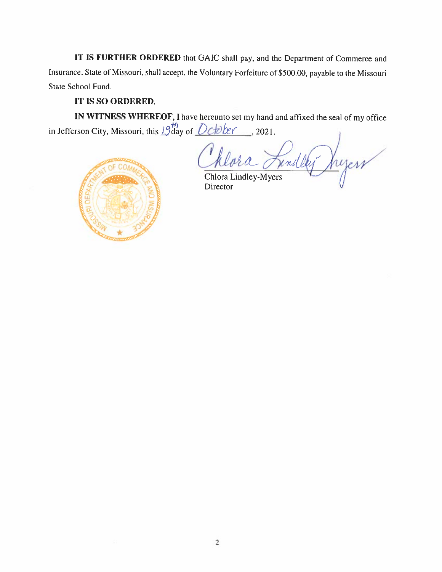IT IS FURTHER ORDERED that GAIC shall pay, and the Department of Commerce and Insurance, State of Missouri, shall accept, the Voluntary Forfeiture of \$500.00, payable to the Missouri State School Fund.

## IT 15 SO ORDERED.

IN WITNESS WHEREOF, <sup>I</sup> have hereunto set my hand and affixed the seal of my office in Jefferson City, Missouri, this  $\frac{1}{10}$  day of  $\frac{Det}{Det}$ . 2021.

hyerr rend la Chlora Lindley-Mycrs



Director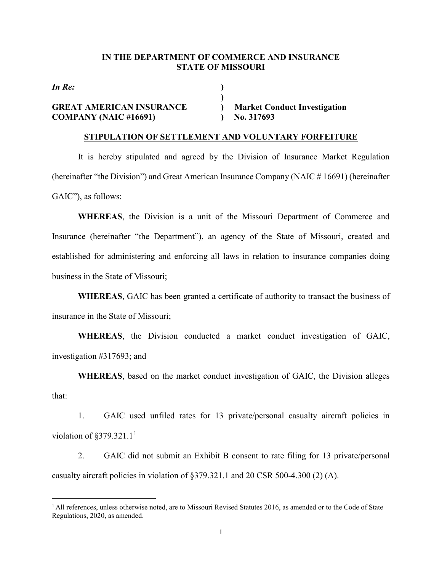#### **IN THE DEPARTMENT OF COMMERCE AND INSURANCE STATE OF MISSOURI**

**)**

*In Re:* **)**

# **GREAT AMERICAN INSURANCE ) Market Conduct Investigation COMPANY (NAIC #16691) ) No. 317693**

#### **STIPULATION OF SETTLEMENT AND VOLUNTARY FORFEITURE**

It is hereby stipulated and agreed by the Division of Insurance Market Regulation (hereinafter "the Division") and Great American Insurance Company (NAIC # 16691) (hereinafter GAIC"), as follows:

**WHEREAS**, the Division is a unit of the Missouri Department of Commerce and Insurance (hereinafter "the Department"), an agency of the State of Missouri, created and established for administering and enforcing all laws in relation to insurance companies doing business in the State of Missouri;

**WHEREAS**, GAIC has been granted a certificate of authority to transact the business of insurance in the State of Missouri;

**WHEREAS**, the Division conducted a market conduct investigation of GAIC, investigation #317693; and

**WHEREAS**, based on the market conduct investigation of GAIC, the Division alleges that:

1. GAIC used unfiled rates for 13 private/personal casualty aircraft policies in violation of  $\S 379.321.1<sup>1</sup>$  $\S 379.321.1<sup>1</sup>$  $\S 379.321.1<sup>1</sup>$ 

2. GAIC did not submit an Exhibit B consent to rate filing for 13 private/personal casualty aircraft policies in violation of §379.321.1 and 20 CSR 500-4.300 (2) (A).

<span id="page-2-0"></span>Ĩ. <sup>1</sup> All references, unless otherwise noted, are to Missouri Revised Statutes 2016, as amended or to the Code of State Regulations, 2020, as amended.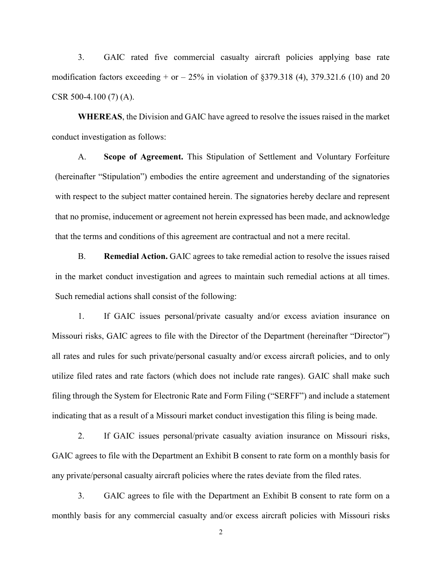3. GAIC rated five commercial casualty aircraft policies applying base rate modification factors exceeding  $+$  or  $-$  25% in violation of §379.318 (4), 379.321.6 (10) and 20 CSR 500-4.100 (7) (A).

**WHEREAS**, the Division and GAIC have agreed to resolve the issues raised in the market conduct investigation as follows:

A. **Scope of Agreement.** This Stipulation of Settlement and Voluntary Forfeiture (hereinafter "Stipulation") embodies the entire agreement and understanding of the signatories with respect to the subject matter contained herein. The signatories hereby declare and represent that no promise, inducement or agreement not herein expressed has been made, and acknowledge that the terms and conditions of this agreement are contractual and not a mere recital.

B. **Remedial Action.** GAIC agrees to take remedial action to resolve the issues raised in the market conduct investigation and agrees to maintain such remedial actions at all times. Such remedial actions shall consist of the following:

1. If GAIC issues personal/private casualty and/or excess aviation insurance on Missouri risks, GAIC agrees to file with the Director of the Department (hereinafter "Director") all rates and rules for such private/personal casualty and/or excess aircraft policies, and to only utilize filed rates and rate factors (which does not include rate ranges). GAIC shall make such filing through the System for Electronic Rate and Form Filing ("SERFF") and include a statement indicating that as a result of a Missouri market conduct investigation this filing is being made.

2. If GAIC issues personal/private casualty aviation insurance on Missouri risks, GAIC agrees to file with the Department an Exhibit B consent to rate form on a monthly basis for any private/personal casualty aircraft policies where the rates deviate from the filed rates.

3. GAIC agrees to file with the Department an Exhibit B consent to rate form on a monthly basis for any commercial casualty and/or excess aircraft policies with Missouri risks

2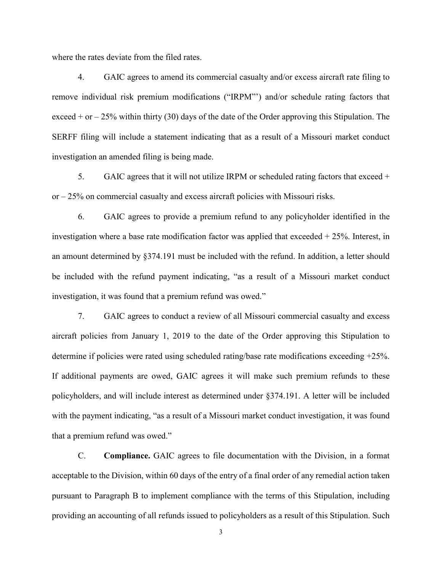where the rates deviate from the filed rates.

4. GAIC agrees to amend its commercial casualty and/or excess aircraft rate filing to remove individual risk premium modifications ("IRPM"') and/or schedule rating factors that exceed  $+$  or  $-$  25% within thirty (30) days of the date of the Order approving this Stipulation. The SERFF filing will include a statement indicating that as a result of a Missouri market conduct investigation an amended filing is being made.

5. GAIC agrees that it will not utilize IRPM or scheduled rating factors that exceed + or – 25% on commercial casualty and excess aircraft policies with Missouri risks.

6. GAIC agrees to provide a premium refund to any policyholder identified in the investigation where a base rate modification factor was applied that exceeded  $+ 25\%$ . Interest, in an amount determined by §374.191 must be included with the refund. In addition, a letter should be included with the refund payment indicating, "as a result of a Missouri market conduct investigation, it was found that a premium refund was owed."

7. GAIC agrees to conduct a review of all Missouri commercial casualty and excess aircraft policies from January 1, 2019 to the date of the Order approving this Stipulation to determine if policies were rated using scheduled rating/base rate modifications exceeding +25%. If additional payments are owed, GAIC agrees it will make such premium refunds to these policyholders, and will include interest as determined under §374.191. A letter will be included with the payment indicating, "as a result of a Missouri market conduct investigation, it was found that a premium refund was owed."

C. **Compliance.** GAIC agrees to file documentation with the Division, in a format acceptable to the Division, within 60 days of the entry of a final order of any remedial action taken pursuant to Paragraph B to implement compliance with the terms of this Stipulation, including providing an accounting of all refunds issued to policyholders as a result of this Stipulation. Such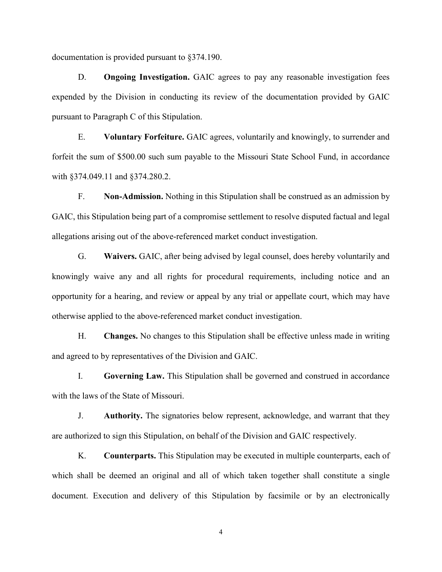documentation is provided pursuant to §374.190.

D. **Ongoing Investigation.** GAIC agrees to pay any reasonable investigation fees expended by the Division in conducting its review of the documentation provided by GAIC pursuant to Paragraph C of this Stipulation.

E. **Voluntary Forfeiture.** GAIC agrees, voluntarily and knowingly, to surrender and forfeit the sum of \$500.00 such sum payable to the Missouri State School Fund, in accordance with §374.049.11 and §374.280.2.

F. **Non-Admission.** Nothing in this Stipulation shall be construed as an admission by GAIC, this Stipulation being part of a compromise settlement to resolve disputed factual and legal allegations arising out of the above-referenced market conduct investigation.

G. **Waivers.** GAIC, after being advised by legal counsel, does hereby voluntarily and knowingly waive any and all rights for procedural requirements, including notice and an opportunity for a hearing, and review or appeal by any trial or appellate court, which may have otherwise applied to the above-referenced market conduct investigation.

H. **Changes.** No changes to this Stipulation shall be effective unless made in writing and agreed to by representatives of the Division and GAIC.

I. **Governing Law.** This Stipulation shall be governed and construed in accordance with the laws of the State of Missouri.

J. **Authority.** The signatories below represent, acknowledge, and warrant that they are authorized to sign this Stipulation, on behalf of the Division and GAIC respectively.

K. **Counterparts.** This Stipulation may be executed in multiple counterparts, each of which shall be deemed an original and all of which taken together shall constitute a single document. Execution and delivery of this Stipulation by facsimile or by an electronically

4